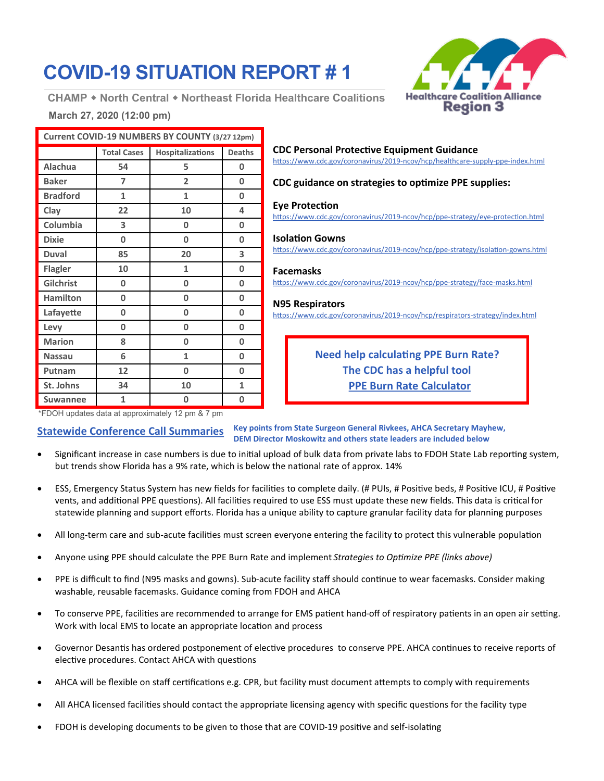# **COVID-19 SITUATION REPORT # 1**

**CHAMP North Central Northeast Florida Healthcare Coalitions**



## **March 27, 2020 (12:00 pm)**

| Current COVID-19 NUMBERS BY COUNTY (3/27 12pm) |                    |                         |               |
|------------------------------------------------|--------------------|-------------------------|---------------|
|                                                | <b>Total Cases</b> | <b>Hospitalizations</b> | <b>Deaths</b> |
| Alachua                                        | 54                 | 5                       | 0             |
| <b>Baker</b>                                   | 7                  | $\overline{2}$          | $\bf{0}$      |
| <b>Bradford</b>                                | 1                  | 1                       | 0             |
| Clay                                           | 22                 | 10                      | 4             |
| Columbia                                       | 3                  | 0                       | 0             |
| <b>Dixie</b>                                   | 0                  | 0                       | 0             |
| <b>Duval</b>                                   | 85                 | 20                      | 3             |
| <b>Flagler</b>                                 | 10                 | 1                       | 0             |
| Gilchrist                                      | 0                  | 0                       | 0             |
| <b>Hamilton</b>                                | 0                  | 0                       | 0             |
| Lafayette                                      | 0                  | 0                       | 0             |
| Levy                                           | 0                  | 0                       | 0             |
| <b>Marion</b>                                  | 8                  | 0                       | 0             |
| <b>Nassau</b>                                  | 6                  | 1                       | 0             |
| Putnam                                         | 12                 | 0                       | 0             |
| St. Johns                                      | 34                 | 10                      | 1             |
| <b>Suwannee</b>                                | 1                  | 0                       | 0             |

#### **CDC Personal Protective Equipment Guidance**

[https://www.cdc.gov/coronavirus/2019](https://www.cdc.gov/coronavirus/2019-ncov/hcp/healthcare-supply-ppe-index.html)-ncov/hcp/healthcare-supply-ppe-index.html

#### **CDC guidance on strategies to optimize PPE supplies:**

#### **Eye Protection**

[https://www.cdc.gov/coronavirus/2019](https://www.cdc.gov/coronavirus/2019-ncov/hcp/ppe-strategy/eye-protection.html)-ncov/hcp/ppe-strategy/eye-protection.html

**Isolation Gowns** [https://www.cdc.gov/coronavirus/2019](https://www.cdc.gov/coronavirus/2019-ncov/hcp/ppe-strategy/isolation-gowns.html)-ncov/hcp/ppe-strategy/isolation-gowns.html

#### **Facemasks**

[https://www.cdc.gov/coronavirus/2019](https://www.cdc.gov/coronavirus/2019-ncov/hcp/ppe-strategy/face-masks.html)-ncov/hcp/ppe-strategy/face-masks.html

#### **N95 Respirators**

[https://www.cdc.gov/coronavirus/2019](https://www.cdc.gov/coronavirus/2019-ncov/hcp/respirators-strategy/index.html)-ncov/hcp/respirators-strategy/index.html

**Need help calculating PPE Burn Rate? The CDC has a helpful tool [PPE Burn Rate Calculator](https://www.cdc.gov/coronavirus/2019-ncov/hcp/ppe-strategy/burn-calculator.html)**

\*FDOH updates data at approximately 12 pm & 7 pm

**Statewide Conference Call Summaries Key points from State Surgeon General Rivkees, AHCA Secretary Mayhew, DEM Director Moskowitz and others state leaders are included below**

- Significant increase in case numbers is due to initial upload of bulk data from private labs to FDOH State Lab reporting system, but trends show Florida has a 9% rate, which is below the national rate of approx. 14%
- ESS, Emergency Status System has new fields for facilities to complete daily. (# PUIs, # Positive beds, # Positive ICU, # Positive vents, and additional PPE questions). All facilities required to use ESS must update these new fields. This data is critical for statewide planning and support efforts. Florida has a unique ability to capture granular facility data for planning purposes
- All long-term care and sub-acute facilities must screen everyone entering the facility to protect this vulnerable population
- Anyone using PPE should calculate the PPE Burn Rate and implement *Strategies to Optimize PPE (links above)*
- PPE is difficult to find (N95 masks and gowns). Sub-acute facility staff should continue to wear facemasks. Consider making washable, reusable facemasks. Guidance coming from FDOH and AHCA
- To conserve PPE, facilities are recommended to arrange for EMS patient hand-off of respiratory patients in an open air setting. Work with local EMS to locate an appropriate location and process
- Governor Desantis has ordered postponement of elective procedures to conserve PPE. AHCA continues to receive reports of elective procedures. Contact AHCA with questions
- AHCA will be flexible on staff certifications e.g. CPR, but facility must document attempts to comply with requirements
- All AHCA licensed facilities should contact the appropriate licensing agency with specific questions for the facility type
- FDOH is developing documents to be given to those that are COVID-19 positive and self-isolating